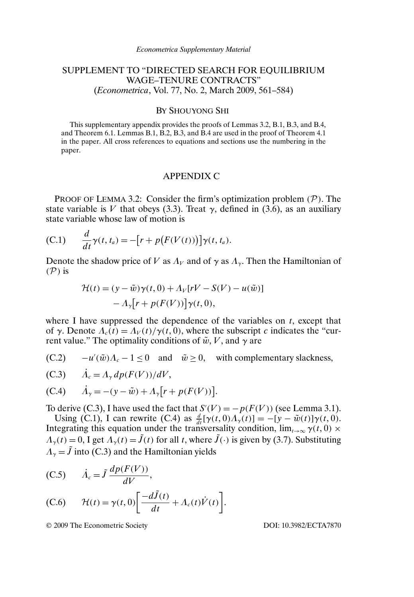# SUPPLEMENT TO "DIRECTED SEARCH FOR EQUILIBRIUM WAGE–TENURE CONTRACTS" (*Econometrica*, Vol. 77, No. 2, March 2009, 561–584)

## BY SHOUYONG SHI

This supplementary appendix provides the proofs of Lemmas 3.2, B.1, B.3, and B.4, and Theorem 6.1. Lemmas B.1, B.2, B.3, and B.4 are used in the proof of Theorem 4.1 in the paper. All cross references to equations and sections use the numbering in the paper.

#### APPENDIX C

PROOF OF LEMMA 3.2: Consider the firm's optimization problem  $(\mathcal{P})$ . The state variable is V that obeys (3.3). Treat  $\gamma$ , defined in (3.6), as an auxiliary state variable whose law of motion is

(C.1) 
$$
\frac{d}{dt}\gamma(t,t_a) = -\big[r + p\big(F(V(t))\big)\big]\gamma(t,t_a).
$$

Denote the shadow price of V as  $\Lambda_V$  and of  $\gamma$  as  $\Lambda_v$ . Then the Hamiltonian of  $(\mathcal{P})$  is

$$
\mathcal{H}(t) = (y - \tilde{w})\gamma(t, 0) + \Lambda_V[rV - S(V) - u(\tilde{w})]
$$

$$
- \Lambda_{\gamma}[r + p(F(V))] \gamma(t, 0),
$$

where I have suppressed the dependence of the variables on  $t$ , except that of γ. Denote  $\Lambda_c(t) = \Lambda_V(t)/\gamma(t, 0)$ , where the subscript c indicates the "current value." The optimality conditions of  $\tilde{w}$ , V, and  $\gamma$  are

 $(C.2)$   $-u'(\tilde{w})\Lambda_c - 1 \le 0$  and  $\tilde{w} \ge 0$ , with complementary slackness,

(C.3) 
$$
\dot{A}_c = A_\gamma dp(F(V))/dV,
$$

(C.4) 
$$
\dot{A}_{\gamma} = -(y - \tilde{w}) + A_{\gamma} [r + p(F(V))].
$$

To derive (C.3), I have used the fact that  $S'(V) = -p(F(V))$  (see Lemma 3.1).

Using (C.1), I can rewrite (C.4) as  $\frac{d}{dt}[\gamma(t,0)\Lambda_{\gamma}(t)]=-[y-\tilde{w}(t)]\gamma(t,0)$ . Integrating this equation under the transversality condition,  $\lim_{t\to\infty} \gamma(t,0)$  ×  $\Lambda_{\gamma}(t) = 0$ , I get  $\Lambda_{\gamma}(t) = \tilde{J}(t)$  for all t, where  $\tilde{J}(\cdot)$  is given by (3.7). Substituting  $\Lambda_{\gamma} = \tilde{J}$  into (C.3) and the Hamiltonian yields

$$
(C.5) \qquad \dot{A}_c = \tilde{J} \frac{dp(F(V))}{dV},
$$

(C.6) 
$$
\mathcal{H}(t) = \gamma(t, 0) \bigg[ \frac{-d\tilde{J}(t)}{dt} + \Lambda_c(t) \dot{V}(t) \bigg].
$$

© 2009 The Econometric Society DOI: 10.3982/ECTA7870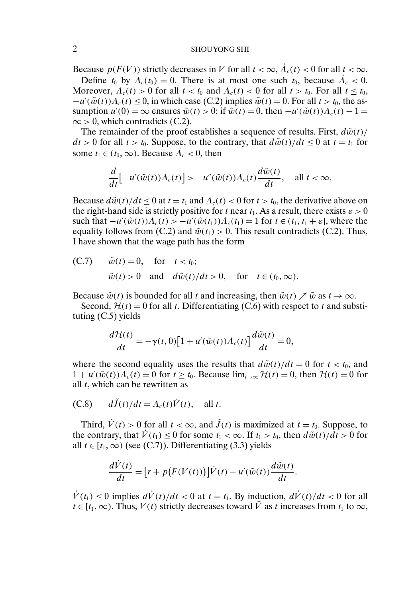Because  $p(F(V))$  strictly decreases in V for all  $t < \infty$ ,  $\dot{A}_c(t) < 0$  for all  $t < \infty$ .

Define  $t_0$  by  $A_c(t_0) = 0$ . There is at most one such  $t_0$ , because  $\dot{A}_c < 0$ . Moreover,  $\Lambda_c(t) > 0$  for all  $t < t_0$  and  $\Lambda_c(t) < 0$  for all  $t > t_0$ . For all  $t \leq t_0$ ,  $-u'(\tilde{w}(t))\Lambda_c(t) \leq 0$ , in which case (C.2) implies  $\tilde{w}(t) = 0$ . For all  $t > t_0$ , the assumption  $u'(0) = \infty$  ensures  $\tilde{w}(t) > 0$ : if  $\tilde{w}(t) = 0$ , then  $-u'(\tilde{w}(t))\Lambda_c(t) - 1 =$  $\infty$  > 0, which contradicts (C.2).

The remainder of the proof establishes a sequence of results. First,  $d\tilde{w}(t)$  $dt > 0$  for all  $t > t_0$ . Suppose, to the contrary, that  $d\tilde{w}(t)/dt \leq 0$  at  $t = t_1$  for some  $t_1 \in (t_0, \infty)$ . Because  $A_c < 0$ , then

$$
\frac{d}{dt}\Big[-u'(\tilde{w}(t))\Lambda_c(t)\Big] > -u''(\tilde{w}(t))\Lambda_c(t)\frac{d\tilde{w}(t)}{dt}, \quad \text{all } t < \infty.
$$

Because  $d\tilde{w}(t)/dt \le 0$  at  $t = t_1$  and  $\Lambda_c(t) < 0$  for  $t > t_0$ , the derivative above on the right-hand side is strictly positive for t near  $t_1$ . As a result, there exists  $\varepsilon > 0$ such that  $-u'(\tilde{w}(t))\Lambda_c(t) > -u'(\tilde{w}(t_1))\Lambda_c(t_1) = 1$  for  $t \in (t_1, t_1 + \varepsilon]$ , where the equality follows from (C.2) and  $\tilde{w}(t_1) > 0$ . This result contradicts (C.2). Thus, I have shown that the wage path has the form

(C.7) 
$$
\tilde{w}(t) = 0
$$
, for  $t < t_0$ ;  
\n $\tilde{w}(t) > 0$  and  $d\tilde{w}(t)/dt > 0$ , for  $t \in (t_0, \infty)$ .

Because  $\tilde{w}(t)$  is bounded for all t and increasing, then  $\tilde{w}(t) \nearrow \bar{w}$  as  $t \to \infty$ .

Second,  $H(t) = 0$  for all t. Differentiating (C.6) with respect to t and substituting (C.5) yields

$$
\frac{d\mathcal{H}(t)}{dt} = -\gamma(t,0)[1+u'(\tilde{w}(t))\Lambda_c(t)]\frac{d\tilde{w}(t)}{dt} = 0,
$$

where the second equality uses the results that  $d\tilde{w}(t)/dt = 0$  for  $t < t_0$ , and  $1 + u'(\tilde{w}(t))\Lambda_c(t) = 0$  for  $t \ge t_0$ . Because  $\lim_{t \to \infty} \mathcal{H}(t) = 0$ , then  $\mathcal{H}(t) = 0$  for all  $t$ , which can be rewritten as

(C.8) 
$$
d\tilde{J}(t)/dt = \Lambda_c(t)\dot{V}(t)
$$
, all t.

Third,  $\dot{V}(t) > 0$  for all  $t < \infty$ , and  $\tilde{J}(t)$  is maximized at  $t = t_0$ . Suppose, to the contrary, that  $\dot{V}(t_1) \leq 0$  for some  $t_1 < \infty$ . If  $t_1 > t_0$ , then  $d\tilde{w}(t)/\tilde{dt} > 0$  for all  $t \in [t_1, \infty)$  (see (C.7)). Differentiating (3.3) yields

$$
\frac{d\dot{V}(t)}{dt} = \Big[r + p\big(F(V(t))\big)\Big]\dot{V}(t) - u'(\tilde{w}(t))\frac{d\tilde{w}(t)}{dt}.
$$

 $\dot{V}(t_1) \leq 0$  implies  $d\dot{V}(t)/dt < 0$  at  $t = t_1$ . By induction,  $d\dot{V}(t)/dt < 0$  for all  $t \in [t_1,\infty)$ . Thus,  $V(t)$  strictly decreases toward  $\overline{V}$  as t increases from  $t_1$  to  $\infty$ ,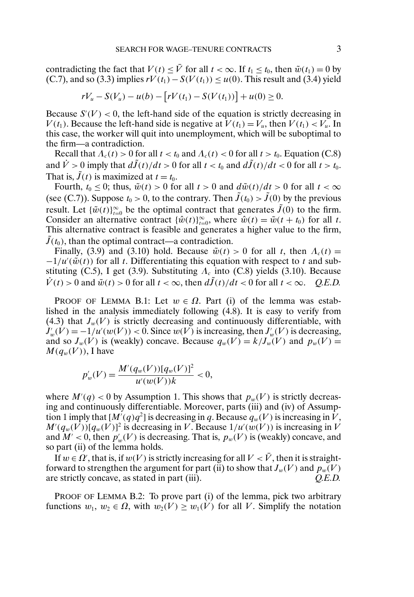contradicting the fact that  $V(t) \leq \bar{V}$  for all  $t < \infty$ . If  $t_1 \leq t_0$ , then  $\tilde{w}(t_1) = 0$  by (C.7), and so (3.3) implies  $rV(t_1) - S(V(t_1)) \le u(0)$ . This result and (3.4) yield

$$
rV_u - S(V_u) - u(b) - [rV(t_1) - S(V(t_1))] + u(0) \ge 0.
$$

Because  $S'(V) < 0$ , the left-hand side of the equation is strictly decreasing in  $V(t_1)$ . Because the left-hand side is negative at  $V(t_1) = V_u$ , then  $V(t_1) < V_u$ . In this case, the worker will quit into unemployment, which will be suboptimal to the firm—a contradiction.

Recall that  $\Lambda_c(t) > 0$  for all  $t < t_0$  and  $\Lambda_c(t) < 0$  for all  $t > t_0$ . Equation (C.8) and  $\dot{V} > 0$  imply that  $d\tilde{J}(t)/dt > 0$  for all  $t < t_0$  and  $d\tilde{J}(t)/dt < 0$  for all  $t > t_0$ . That is,  $\tilde{J}(t)$  is maximized at  $t = t_0$ .

Fourth,  $t_0 \leq 0$ ; thus,  $\tilde{w}(t) > 0$  for all  $t > 0$  and  $\frac{d\tilde{w}(t)}{dt} > 0$  for all  $t < \infty$ (see (C.7)). Suppose  $t_0 > 0$ , to the contrary. Then  $\tilde{J}(t_0) > \tilde{J}(0)$  by the previous result. Let  $\{\tilde{w}(t)\}_{t=0}^{\infty}$  be the optimal contract that generates  $\tilde{J}(0)$  to the firm. Consider an alternative contract  $\{\hat{w}(t)\}_{t=0}^{\infty}$ , where  $\hat{w}(t) = \tilde{w}(t + t_0)$  for all t. This alternative contract is feasible and generates a higher value to the firm,  $J(t_0)$ , than the optimal contract—a contradiction.

Finally, (3.9) and (3.10) hold. Because  $\tilde{w}(t) > 0$  for all t, then  $\Lambda_c(t) =$  $-1/u'(\tilde{w}(t))$  for all t. Differentiating this equation with respect to t and substituting (C.5), I get (3.9). Substituting  $\Lambda_c$  into (C.8) yields (3.10). Because  $\dot{V}(t) > 0$  and  $\tilde{w}(t) > 0$  for all  $t < \infty$ , then  $d\tilde{J}(t)/dt < 0$  for all  $t < \infty$ . *Q.E.D.* 

PROOF OF LEMMA B.1: Let  $w \in \Omega$ . Part (i) of the lemma was established in the analysis immediately following (4.8). It is easy to verify from (4.3) that  $J_w(V)$  is strictly decreasing and continuously differentiable, with  $J'_w(V) = -1/u'(w(V)) < 0$ . Since  $w(V)$  is increasing, then  $J'_w(V)$  is decreasing, and so  $J_w(V)$  is (weakly) concave. Because  $q_w(V) = k/J_w(V)$  and  $p_w(V) =$  $M(q_w(V))$ , I have

$$
p'_{w}(V) = \frac{M'(q_w(V))[q_w(V)]^2}{u'(w(V))k} < 0,
$$

where  $M'(q) < 0$  by Assumption 1. This shows that  $p_w(V)$  is strictly decreasing and continuously differentiable. Moreover, parts (iii) and (iv) of Assumption 1 imply that  $[M'(q)q^2]$  is decreasing in q. Because  $q_w(V)$  is increasing in V,  $M'(q_w(V))[q_w(V)]^2$  is decreasing in V. Because  $1/u'(w(V))$  is increasing in V and  $M' < 0$ , then  $p'_{w}(V)$  is decreasing. That is,  $p_{w}(V)$  is (weakly) concave, and so part (ii) of the lemma holds.

If  $w \in \Omega'$ , that is, if  $w(V)$  is strictly increasing for all  $V < \bar{V}$ , then it is straightforward to strengthen the argument for part (ii) to show that  $J_w(V)$  and  $p_w(V)$ are strictly concave, as stated in part (iii). *Q.E.D.*

PROOF OF LEMMA B.2: To prove part (i) of the lemma, pick two arbitrary functions  $w_1, w_2 \in \Omega$ , with  $w_2(V) \ge w_1(V)$  for all V. Simplify the notation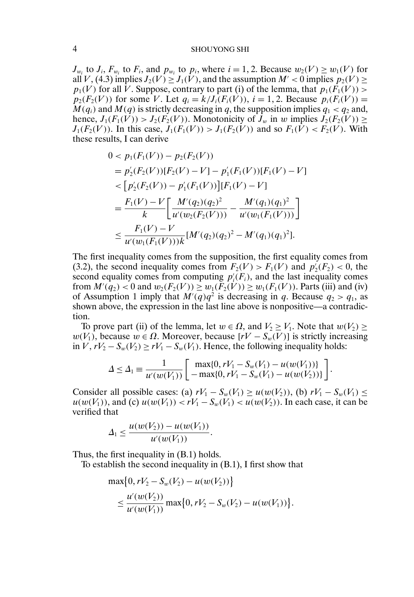#### 4 SHOUYONG SHI

 $J_{w_i}$  to  $J_i$ ,  $F_{w_i}$  to  $F_i$ , and  $p_{w_i}$  to  $p_i$ , where  $i = 1, 2$ . Because  $w_2(V) \ge w_1(V)$  for all V, (4.3) implies  $J_2(V) \geq J_1(V)$ , and the assumption  $M' < 0$  implies  $p_2(V) \geq$  $p_1(V)$  for all V. Suppose, contrary to part (i) of the lemma, that  $p_1(F_1(V))$  >  $p_2(F_2(V))$  for some V. Let  $q_i = k/J_i(F_i(V)), i = 1, 2$ . Because  $p_i(F_i(V)) =$  $M(q_i)$  and  $M(q)$  is strictly decreasing in q, the supposition implies  $q_1 < q_2$  and, hence,  $J_1(F_1(\tilde{V})) > J_2(F_2(V))$ . Monotonicity of  $\tilde{J}_w$  in w implies  $\tilde{J}_2(F_2(V)) \ge$  $J_1(F_2(V))$ . In this case,  $J_1(F_1(V)) > J_1(F_2(V))$  and so  $F_1(V) < F_2(V)$ . With these results, I can derive

$$
0 < p_1(F_1(V)) - p_2(F_2(V))
$$
\n
$$
= p_2'(F_2(V))[F_2(V) - V] - p_1'(F_1(V))[F_1(V) - V]
$$
\n
$$
= [p_2'(F_2(V)) - p_1'(F_1(V))] [F_1(V) - V]
$$
\n
$$
= \frac{F_1(V) - V}{k} \left[ \frac{M'(q_2)(q_2)^2}{u'(w_2(F_2(V)))} - \frac{M'(q_1)(q_1)^2}{u'(w_1(F_1(V)))} \right]
$$
\n
$$
\leq \frac{F_1(V) - V}{u'(w_1(F_1(V)))k} [M'(q_2)(q_2)^2 - M'(q_1)(q_1)^2].
$$

The first inequality comes from the supposition, the first equality comes from (3.2), the second inequality comes from  $F_2(V) > F_1(V)$  and  $p'_2(F_2) < 0$ , the second equality comes from computing  $p_i(F_i)$ , and the last inequality comes from  $M'(q_2) < 0$  and  $w_2(F_2(V)) \ge w_1(F_2(V)) \ge w_1(F_1(V))$ . Parts (iii) and (iv) of Assumption 1 imply that  $M'(q)q^2$  is decreasing in q. Because  $q_2 > q_1$ , as shown above, the expression in the last line above is nonpositive—a contradiction.

To prove part (ii) of the lemma, let  $w \in \Omega$ , and  $V_2 \geq V_1$ . Note that  $w(V_2) \geq$  $w(V_1)$ , because  $w \in \Omega$ . Moreover, because  $[rV - S_w(V)]$  is strictly increasing in V,  $rV_2 - S_w(V_2) \geq rV_1 - S_w(V_1)$ . Hence, the following inequality holds:

$$
\Delta \leq \Delta_1 \equiv \frac{1}{u'(w(V_1))} \left[ \begin{array}{c} \max\{0, rV_1 - S_w(V_1) - u(w(V_1))\} \\ -\max\{0, rV_1 - S_w(V_1) - u(w(V_2))\} \end{array} \right]
$$

 $\ddot{\phantom{0}}$ 

Consider all possible cases: (a)  $rV_1 - S_w(V_1) \geq u(w(V_2))$ , (b)  $rV_1 - S_w(V_1) \leq$  $u(w(V_1))$ , and (c)  $u(w(V_1)) < rV_1 - S_w(V_1) < u(w(V_2))$ . In each case, it can be verified that

$$
\Delta_1 \leq \frac{u(w(V_2)) - u(w(V_1))}{u'(w(V_1))}.
$$

Thus, the first inequality in (B.1) holds.

To establish the second inequality in (B.1), I first show that

$$
\max\{0, rV_2 - S_w(V_2) - u(w(V_2))\}
$$
  
\$\leq \frac{u'(w(V\_2))}{u'(w(V\_1))} \max\{0, rV\_2 - S\_w(V\_2) - u(w(V\_1))\}.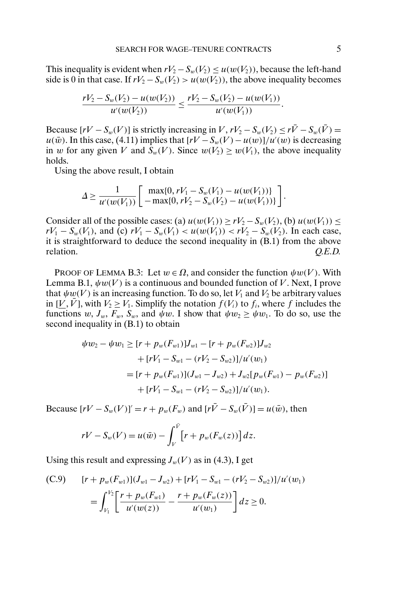This inequality is evident when  $rV_2 - S_w(V_2) \leq u(w(V_2))$ , because the left-hand side is 0 in that case. If  $rV_2 - S_w(V_2) > u(w(V_2))$ , the above inequality becomes

$$
\frac{rV_2-S_w(V_2)-u(w(V_2))}{u'(w(V_2))}\leq \frac{rV_2-S_w(V_2)-u(w(V_1))}{u'(w(V_1))}.
$$

Because  $[rV - S_w(V)]$  is strictly increasing in V,  $rV_2 - S_w(V_2) \leq r\bar{V} - S_w(\bar{V}) =$  $u(\bar{w})$ . In this case, (4.11) implies that  $[rV - S_w(V) - u(w)]/u'(w)$  is decreasing in w for any given V and  $S_w(V)$ . Since  $w(V_2) > w(V_1)$ , the above inequality holds.

Using the above result, I obtain

$$
\Delta \ge \frac{1}{u'(w(V_1))} \left[ \begin{array}{c} \max\{0, rV_1 - S_w(V_1) - u(w(V_1))\} \\ -\max\{0, rV_2 - S_w(V_2) - u(w(V_1))\} \end{array} \right]
$$

Consider all of the possible cases: (a)  $u(w(V_1)) \ge rV_2 - S_w(V_2)$ , (b)  $u(w(V_1)) \le$  $rV_1 - S_w(V_1)$ , and (c)  $rV_1 - S_w(V_1) < u(w(V_1)) < rV_2 - S_w(V_2)$ . In each case, it is straightforward to deduce the second inequality in (B.1) from the above relation. *Q.E.D.*

PROOF OF LEMMA B.3: Let  $w \in \Omega$ , and consider the function  $\psi w(V)$ . With Lemma B.1,  $\psi w(V)$  is a continuous and bounded function of V. Next, I prove that  $\psi w(V)$  is an increasing function. To do so, let  $V_1$  and  $V_2$  be arbitrary values in  $[V, \bar{V}]$ , with  $V_2 \geq V_1$ . Simplify the notation  $f(V_i)$  to  $f_i$ , where f includes the functions w,  $J_w$ ,  $F_w$ ,  $S_w$ , and  $\psi w$ . I show that  $\psi w_2 \ge \psi w_1$ . To do so, use the second inequality in (B.1) to obtain

$$
\psi w_2 - \psi w_1 \ge [r + p_w(F_{w1})]J_{w1} - [r + p_w(F_{w2})]J_{w2}
$$
  
+ 
$$
[rV_1 - S_{w1} - (rV_2 - S_{w2})]/u'(w_1)
$$
  
= 
$$
[r + p_w(F_{w1})](J_{w1} - J_{w2}) + J_{w2}[p_w(F_{w1}) - p_w(F_{w2})]
$$
  
+ 
$$
[rV_1 - S_{w1} - (rV_2 - S_{w2})]/u'(w_1).
$$

Because  $[rV - S_w(V)]' = r + p_w(F_w)$  and  $[r\bar{V} - S_w(\bar{V})] = u(\bar{w})$ , then

$$
rV - S_w(V) = u(\bar{w}) - \int_V^{\bar{V}} \left[r + p_w(F_w(z))\right] dz.
$$

Using this result and expressing  $J_w(V)$  as in (4.3), I get

(C.9) 
$$
[r + p_w(F_{w1})](J_{w1} - J_{w2}) + [rV_1 - S_{w1} - (rV_2 - S_{w2})]/u'(w_1)
$$

$$
= \int_{V_1}^{V_2} \left[ \frac{r + p_w(F_{w1})}{u'(w(z))} - \frac{r + p_w(F_w(z))}{u'(w_1)} \right] dz \ge 0.
$$

.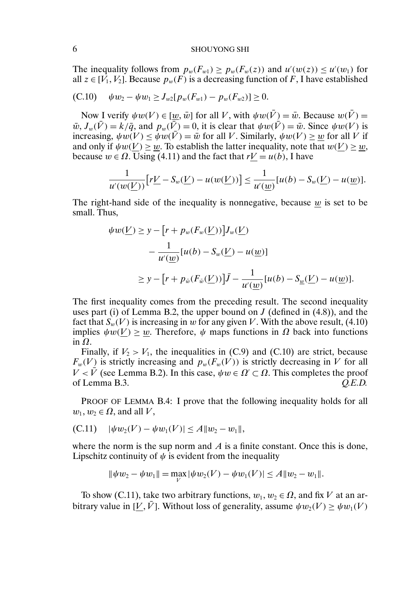The inequality follows from  $p_w(F_{w1}) \ge p_w(F_w(z))$  and  $u'(w(z)) \le u'(w_1)$  for all  $z \in [V_1, V_2]$ . Because  $p_w(F)$  is a decreasing function of F, I have established

(C.10) 
$$
\psi w_2 - \psi w_1 \geq J_{w2}[p_w(F_{w1}) - p_w(F_{w2})] \geq 0.
$$

Now I verify  $\psi w(V) \in [w, \bar{w}]$  for all V, with  $\psi w(\bar{V}) = \bar{w}$ . Because  $w(\bar{V}) =$  $\bar{w}$ ,  $J_w(\bar{V}) = k/\bar{q}$ , and  $p_w(\bar{\bar{V}}) = 0$ , it is clear that  $\psi w(\bar{V}) = \bar{w}$ . Since  $\psi w(V)$  is increasing,  $\psi w(V) \leq \psi w(\overline{V}) = \overline{w}$  for all V. Similarly,  $\psi w(V) \geq w$  for all V if and only if  $\psi w(V) > w$ . To establish the latter inequality, note that  $w(V) > w$ , because  $w \in \Omega$ . Using (4.11) and the fact that  $rV = u(b)$ , I have

$$
\frac{1}{u'(w(\underline{V}))}\big[r\underline{V} - S_w(\underline{V}) - u(w(\underline{V}))\big] \le \frac{1}{u'(\underline{w})}[u(b) - S_w(\underline{V}) - u(\underline{w})].
$$

The right-hand side of the inequality is nonnegative, because  $w$  is set to be small. Thus,

$$
\psi w(\underline{V}) \ge y - [r + p_w(F_w(\underline{V}))]J_w(\underline{V})
$$
  

$$
- \frac{1}{u'(\underline{w})}[u(b) - S_w(\underline{V}) - u(\underline{w})]
$$
  

$$
\ge y - [r + p_{\tilde{w}}(F_{\tilde{w}}(\underline{V}))]\bar{J} - \frac{1}{u'(\underline{w})}[u(b) - S_{\underline{w}}(\underline{V}) - u(\underline{w})].
$$

The first inequality comes from the preceding result. The second inequality uses part (i) of Lemma B.2, the upper bound on  $J$  (defined in (4.8)), and the fact that  $S_w(V)$  is increasing in w for any given V. With the above result, (4.10) implies  $\psi w(V) > w$ . Therefore,  $\psi$  maps functions in  $\Omega$  back into functions in Ω.

Finally, if  $V_2 > V_1$ , the inequalities in (C.9) and (C.10) are strict, because  $F_w(V)$  is strictly increasing and  $p_w(F_w(V))$  is strictly decreasing in V for all  $V < \bar{V}$  (see Lemma B.2). In this case,  $\psi w \in \Omega' \subset \Omega$ . This completes the proof of Lemma B.3. *Q.E.D.*

PROOF OF LEMMA B.4: I prove that the following inequality holds for all  $w_1, w_2 \in \Omega$ , and all V,

(C.11) 
$$
|\psi w_2(V) - \psi w_1(V)| \le A \|w_2 - w_1\|,
$$

where the norm is the sup norm and  $\vec{A}$  is a finite constant. Once this is done, Lipschitz continuity of  $\psi$  is evident from the inequality

$$
\|\psi w_2 - \psi w_1\| = \max_{V} |\psi w_2(V) - \psi w_1(V)| \le A \|w_2 - w_1\|.
$$

To show (C.11), take two arbitrary functions,  $w_1, w_2 \in \Omega$ , and fix V at an arbitrary value in [V,  $\bar{V}$ ]. Without loss of generality, assume  $\psi w_2(V) \geq \psi w_1(V)$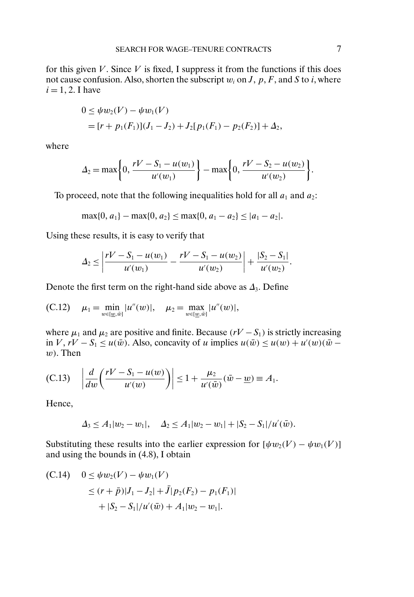for this given  $V$ . Since  $V$  is fixed, I suppress it from the functions if this does not cause confusion. Also, shorten the subscript  $w_i$  on J, p, F, and S to i, where  $i = 1, 2$ . I have

$$
0 \leq \psi w_2(V) - \psi w_1(V)
$$
  
=  $[r + p_1(F_1)](J_1 - J_2) + J_2[p_1(F_1) - p_2(F_2)] + \Delta_2$ ,

where

$$
\Delta_2 = \max\bigg\{0, \frac{rV - S_1 - u(w_1)}{u'(w_1)}\bigg\} - \max\bigg\{0, \frac{rV - S_2 - u(w_2)}{u'(w_2)}\bigg\}.
$$

To proceed, note that the following inequalities hold for all  $a_1$  and  $a_2$ :

$$
\max\{0, a_1\} - \max\{0, a_2\} \le \max\{0, a_1 - a_2\} \le |a_1 - a_2|.
$$

Using these results, it is easy to verify that

$$
\Delta_2 \leq \left| \frac{rV - S_1 - u(w_1)}{u'(w_1)} - \frac{rV - S_1 - u(w_2)}{u'(w_2)} \right| + \frac{|S_2 - S_1|}{u'(w_2)}.
$$

Denote the first term on the right-hand side above as  $\Delta_3$ . Define

(C.12) 
$$
\mu_1 = \min_{w \in [\underline{w}, \bar{w}]} |u''(w)|, \quad \mu_2 = \max_{w \in [\underline{w}, \bar{w}]} |u''(w)|,
$$

where  $\mu_1$  and  $\mu_2$  are positive and finite. Because (rV – S<sub>1</sub>) is strictly increasing in  $V, rV - S_1 \le u(\bar{w})$ . Also, concavity of u implies  $u(\bar{w}) \le u(w) + u'(w)(\bar{w}$  $w$ ). Then

(C.13) 
$$
\left|\frac{d}{dw}\left(\frac{rV-S_1-u(w)}{u'(w)}\right)\right|\leq 1+\frac{\mu_2}{u'(\bar{w})}(\bar{w}-\underline{w})\equiv A_1.
$$

Hence,

$$
\Delta_3 \leq A_1 |w_2 - w_1|, \quad \Delta_2 \leq A_1 |w_2 - w_1| + |S_2 - S_1| / u'(\bar{w}).
$$

Substituting these results into the earlier expression for  $[\psi w_2(V) - \psi w_1(V)]$ and using the bounds in (4.8), I obtain

(C.14) 
$$
0 \leq \psi w_2(V) - \psi w_1(V)
$$
  
\n
$$
\leq (r + \bar{p})|J_1 - J_2| + \bar{J}|p_2(F_2) - p_1(F_1)|
$$
  
\n
$$
+ |S_2 - S_1| / u'(\bar{w}) + A_1|w_2 - w_1|.
$$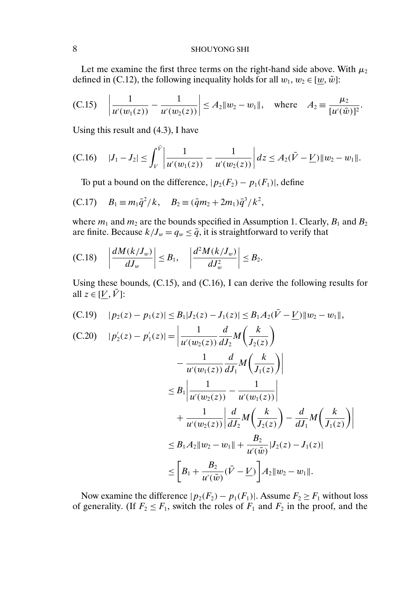Let me examine the first three terms on the right-hand side above. With  $\mu_2$ defined in (C.12), the following inequality holds for all  $w_1, w_2 \in [w, \bar{w}]$ :

(C.15) 
$$
\left| \frac{1}{u'(w_1(z))} - \frac{1}{u'(w_2(z))} \right| \le A_2 \| w_2 - w_1 \|
$$
, where  $A_2 = \frac{\mu_2}{[u'(\bar{w})]^2}$ .

Using this result and (4.3), I have

(C.16) 
$$
|J_1-J_2| \leq \int_V^{\tilde{V}} \left| \frac{1}{u'(w_1(z))} - \frac{1}{u'(w_2(z))} \right| dz \leq A_2(\tilde{V} - \underline{V}) \| w_2 - w_1 \|.
$$

To put a bound on the difference,  $|p_2(F_2) - p_1(F_1)|$ , define

(C.17) 
$$
B_1 \equiv m_1 \bar{q}^2 / k
$$
,  $B_2 \equiv (\bar{q}m_2 + 2m_1)\bar{q}^3 / k^2$ ,

where  $m_1$  and  $m_2$  are the bounds specified in Assumption 1. Clearly,  $B_1$  and  $B_2$ are finite. Because  $k/J_w = q_w \le \overline{q}$ , it is straightforward to verify that

(C.18) 
$$
\left|\frac{dM(k/J_w)}{dJ_w}\right| \leq B_1, \quad \left|\frac{d^2M(k/J_w)}{dJ_w^2}\right| \leq B_2.
$$

Using these bounds, (C.15), and (C.16), I can derive the following results for all  $z \in [V, \overline{V}]$ :

(C.19) 
$$
|p_2(z) - p_1(z)| \leq B_1 |J_2(z) - J_1(z)| \leq B_1 A_2 (\bar{V} - \underline{V}) ||w_2 - w_1||,
$$
  
\n(C.20)  $|p'_2(z) - p'_1(z)| = \left| \frac{1}{u'(w_2(z))} \frac{d}{dJ_2} M\left(\frac{k}{J_2(z)}\right) - \frac{1}{u'(w_1(z))} \frac{d}{dJ_1} M\left(\frac{k}{J_1(z)}\right) \right|$   
\n
$$
\leq B_1 \left| \frac{1}{u'(w_2(z))} - \frac{1}{u'(w_1(z))} \right|
$$
\n
$$
+ \frac{1}{u'(w_2(z))} \left| \frac{d}{dJ_2} M\left(\frac{k}{J_2(z)}\right) - \frac{d}{dJ_1} M\left(\frac{k}{J_1(z)}\right) \right|
$$
\n
$$
\leq B_1 A_2 ||w_2 - w_1|| + \frac{B_2}{u'(\bar{w})} |J_2(z) - J_1(z)|
$$
\n
$$
\leq \left[ B_1 + \frac{B_2}{u'(\bar{w})} (\bar{V} - \underline{V}) \right] A_2 ||w_2 - w_1||.
$$

 $\overline{\phantom{a}}$  $\overline{\phantom{a}}$ 

Now examine the difference  $|p_2(F_2) - p_1(F_1)|$ . Assume  $F_2 \ge F_1$  without loss of generality. (If  $F_2 \leq F_1$ , switch the roles of  $F_1$  and  $F_2$  in the proof, and the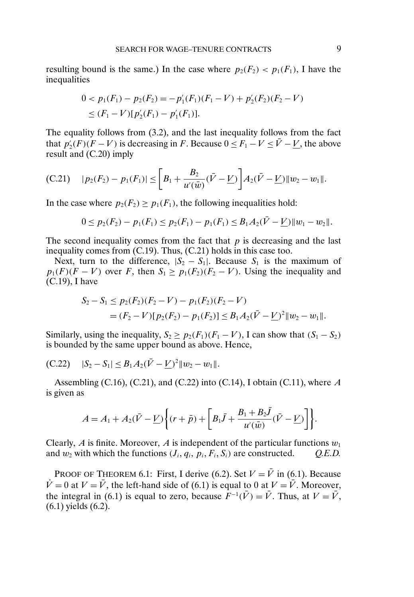resulting bound is the same.) In the case where  $p_2(F_2)$  <  $p_1(F_1)$ , I have the inequalities

$$
0 < p_1(F_1) - p_2(F_2) = -p'_1(F_1)(F_1 - V) + p'_2(F_2)(F_2 - V) \\
\leq (F_1 - V)[p'_2(F_1) - p'_1(F_1)].
$$

The equality follows from (3.2), and the last inequality follows from the fact that  $p'_2(F)(F - V)$  is decreasing in F. Because  $0 \le F_1 - V \le \bar{V} - V$ , the above result and (C.20) imply

(C.21) 
$$
|p_2(F_2)-p_1(F_1)| \leq \bigg[B_1+\frac{B_2}{u'(\bar{w})}(\bar{V}-\underline{V})\bigg]A_2(\bar{V}-\underline{V})\|w_2-w_1\|.
$$

In the case where  $p_2(F_2) \ge p_1(F_1)$ , the following inequalities hold:

$$
0 \le p_2(F_2) - p_1(F_1) \le p_2(F_1) - p_1(F_1) \le B_1 A_2(\bar{V} - \underline{V}) \|w_1 - w_2\|.
$$

The second inequality comes from the fact that  $p$  is decreasing and the last inequality comes from (C.19). Thus, (C.21) holds in this case too.

Next, turn to the difference,  $|S_2 - S_1|$ . Because  $S_1$  is the maximum of  $p_1(F)(F - V)$  over F, then  $S_1 \geq p_1(F_2)(F_2 - V)$ . Using the inequality and (C.19), I have

$$
S_2 - S_1 \le p_2(F_2)(F_2 - V) - p_1(F_2)(F_2 - V)
$$
  
=  $(F_2 - V)[p_2(F_2) - p_1(F_2)] \le B_1 A_2(\bar{V} - \underline{V})^2 ||w_2 - w_1||.$ 

Similarly, using the inequality,  $S_2 \ge p_2(F_1)(F_1 - V)$ , I can show that  $(S_1 - S_2)$ is bounded by the same upper bound as above. Hence,

(C.22) 
$$
|S_2 - S_1| \leq B_1 A_2 (\bar{V} - \underline{V})^2 ||w_2 - w_1||.
$$

Assembling (C.16), (C.21), and (C.22) into (C.14), I obtain (C.11), where  $A$ is given as

$$
A = A_1 + A_2(\bar{V} - \underline{V}) \bigg\{ (r + \bar{p}) + \bigg[ B_1 \bar{J} + \frac{B_1 + B_2 \bar{J}}{u'(\bar{w})} (\bar{V} - \underline{V}) \bigg] \bigg\}.
$$

Clearly, A is finite. Moreover, A is independent of the particular functions  $w_1$ and  $w_2$  with which the functions  $(J_i, q_i, p_i, F_i, S_i)$  are constructed. *Q.E.D.* 

PROOF OF THEOREM 6.1: First, I derive (6.2). Set  $V = \overline{V}$  in (6.1). Because  $\dot{V} = 0$  at  $V = \bar{V}$ , the left-hand side of (6.1) is equal to 0 at  $V = \bar{V}$ . Moreover, the integral in (6.1) is equal to zero, because  $F^{-1}(\bar{V}) = \bar{V}$ . Thus, at  $V = \bar{V}$ , (6.1) yields (6.2).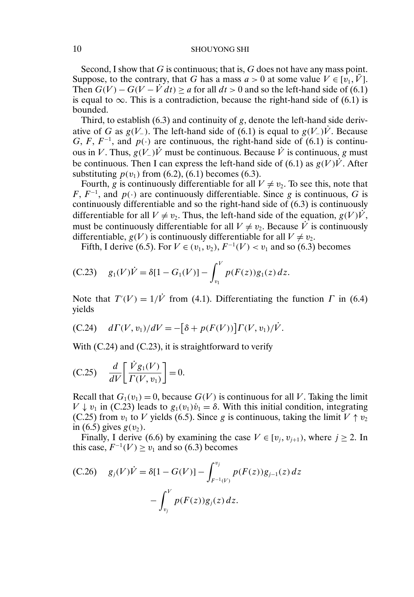## 10 SHOUYONG SHI

Second, I show that G is continuous; that is,  $G$  does not have any mass point. Suppose, to the contrary, that G has a mass  $a > 0$  at some value  $V \in [v_1, \bar{V}]$ . Then  $G(V) - G(V - \dot{V} dt) > a$  for all  $dt > 0$  and so the left-hand side of (6.1) is equal to  $\infty$ . This is a contradiction, because the right-hand side of (6.1) is bounded.

Third, to establish  $(6.3)$  and continuity of g, denote the left-hand side derivative of G as  $g(V_)$ . The left-hand side of (6.1) is equal to  $g(V_-)\dot{V}$ . Because G, F,  $F^{-1}$ , and  $p(\cdot)$  are continuous, the right-hand side of (6.1) is continuous in V. Thus,  $g(V_+) \dot{V}$  must be continuous. Because  $\dot{V}$  is continuous, g must be continuous. Then I can express the left-hand side of (6.1) as  $g(V) \dot{V}$ . After substituting  $p(v_1)$  from (6.2), (6.1) becomes (6.3).

Fourth, g is continuously differentiable for all  $V \neq v_2$ . To see this, note that F,  $F^{-1}$ , and  $p(\cdot)$  are continuously differentiable. Since g is continuous, G is continuously differentiable and so the right-hand side of (6.3) is continuously differentiable for all  $V \neq v_2$ . Thus, the left-hand side of the equation,  $g(V)V$ , must be continuously differentiable for all  $V \neq v_2$ . Because  $\dot{V}$  is continuously differentiable,  $g(V)$  is continuously differentiable for all  $V \neq v_2$ .

Fifth, I derive (6.5). For  $V \in (v_1, v_2)$ ,  $F^{-1}(V) < v_1$  and so (6.3) becomes

(C.23) 
$$
g_1(V)\dot{V} = \delta[1 - G_1(V)] - \int_{v_1}^{V} p(F(z))g_1(z) dz.
$$

Note that  $T'(V) = 1/\dot{V}$  from (4.1). Differentiating the function  $\Gamma$  in (6.4) yields

(C.24) 
$$
d\Gamma(V, v_1)/dV = -[\delta + p(F(V))]\Gamma(V, v_1)/\dot{V}.
$$

With  $(C.24)$  and  $(C.23)$ , it is straightforward to verify

(C.25) 
$$
\frac{d}{dV} \left[ \frac{\dot{V}g_1(V)}{\Gamma(V, v_1)} \right] = 0.
$$

Recall that  $G_1(v_1) = 0$ , because  $G(V)$  is continuous for all V. Taking the limit  $V \downarrow v_1$  in (C.23) leads to  $g_1(v_1)\dot{v}_1 = \delta$ . With this initial condition, integrating (C.25) from  $v_1$  to V yields (6.5). Since g is continuous, taking the limit  $V \uparrow v_2$ in (6.5) gives  $g(v_2)$ .

Finally, I derive (6.6) by examining the case  $V \in [v_i, v_{i+1})$ , where  $j \ge 2$ . In this case,  $F^{-1}(V) \ge v_1$  and so (6.3) becomes

(C.26) 
$$
g_j(V)\dot{V} = \delta[1 - G(V)] - \int_{F^{-1}(V)}^{v_j} p(F(z))g_{j-1}(z) dz - \int_{v_j}^{V} p(F(z))g_j(z) dz.
$$